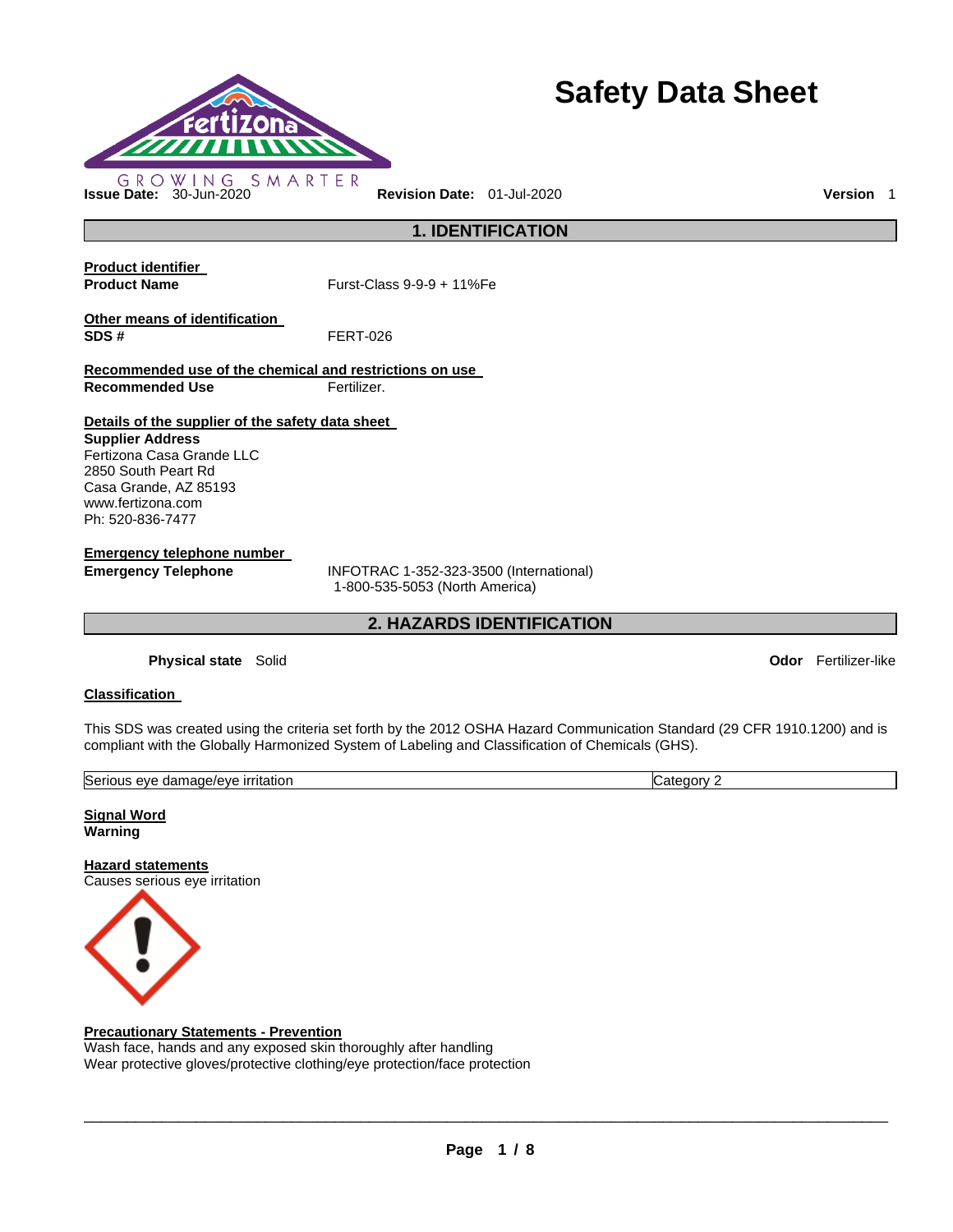

# **Safety Data Sheet**

**Issue Date:** 30-Jun-2020 **Revision Date:** 01-Jul-2020 **Version** 1

**1. IDENTIFICATION** 

**Product identifier** 

**Product Name Furst-Class 9-9-9 + 11%Fe** 

**Other means of identification SDS #** FERT-026

**Recommended use of the chemical and restrictions on use** 

**Recommended Use Fertilizer.** 

### **Details of the supplier of the safety data sheet**

**Supplier Address** Fertizona Casa Grande LLC 2850 South Peart Rd Casa Grande, AZ 85193 www.fertizona.com Ph: 520-836-7477

**Emergency telephone number** 

**Emergency Telephone** INFOTRAC 1-352-323-3500 (International) 1-800-535-5053 (North America)

**2. HAZARDS IDENTIFICATION** 

**Physical state** Solid **Odor** Fertilizer-like

#### **Classification**

This SDS was created using the criteria set forth by the 2012 OSHA Hazard Communication Standard (29 CFR 1910.1200) and is compliant with the Globally Harmonized System of Labeling and Classification of Chemicals (GHS).

| Seric<br><i><u><b>irritation</b></u></i><br>nage/eve<br>AV <sub>E</sub><br>~<br>nar<br>. | ater |  |
|------------------------------------------------------------------------------------------|------|--|
|                                                                                          |      |  |

**Signal Word Warning** 

**Hazard statements** Causes serious eye irritation



#### **Precautionary Statements - Prevention**

Wash face, hands and any exposed skin thoroughly after handling Wear protective gloves/protective clothing/eye protection/face protection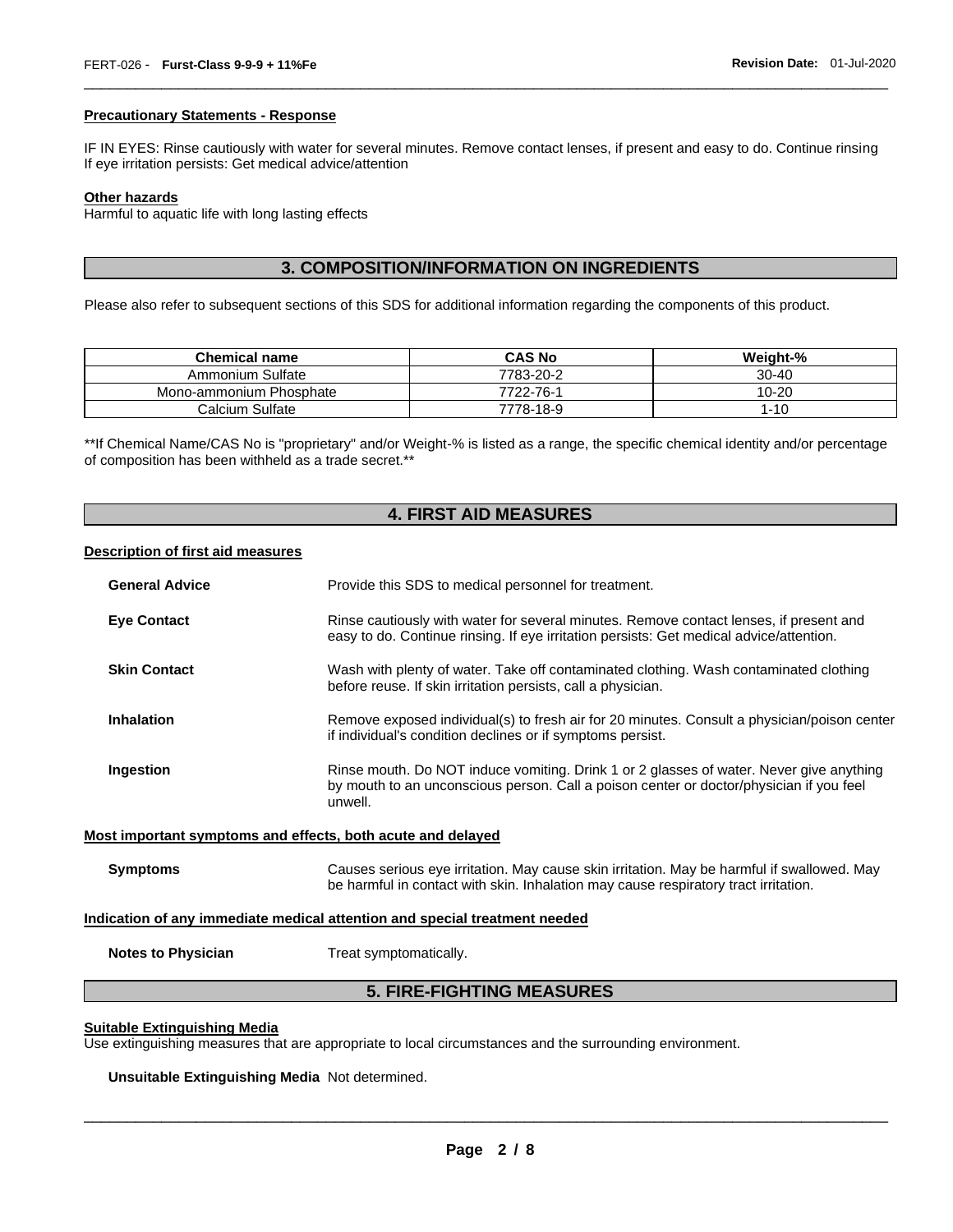#### **Precautionary Statements - Response**

IF IN EYES: Rinse cautiously with water for several minutes. Remove contact lenses, if present and easy to do. Continue rinsing If eye irritation persists: Get medical advice/attention

\_\_\_\_\_\_\_\_\_\_\_\_\_\_\_\_\_\_\_\_\_\_\_\_\_\_\_\_\_\_\_\_\_\_\_\_\_\_\_\_\_\_\_\_\_\_\_\_\_\_\_\_\_\_\_\_\_\_\_\_\_\_\_\_\_\_\_\_\_\_\_\_\_\_\_\_\_\_\_\_\_\_\_\_\_\_\_\_\_\_\_\_\_

#### **Other hazards**

Harmful to aquatic life with long lasting effects

### **3. COMPOSITION/INFORMATION ON INGREDIENTS**

Please also refer to subsequent sections of this SDS for additional information regarding the components of this product.

| <b>Chemical name</b>    | <b>CAS No</b> | Weight-%  |
|-------------------------|---------------|-----------|
| Ammonium Sulfate        | 7783-20-2     | $30 - 40$ |
| Mono-ammonium Phosphate | 7722-76-1     | 10-20     |
| Calcium Sulfate         | 7778-18-9     | l-10      |

\*\*If Chemical Name/CAS No is "proprietary" and/or Weight-% is listed as a range, the specific chemical identity and/or percentage of composition has been withheld as a trade secret.\*\*

#### **4. FIRST AID MEASURES**

#### **Description of first aid measures**

| <b>General Advice</b>                                       | Provide this SDS to medical personnel for treatment.                                                                                                                                          |
|-------------------------------------------------------------|-----------------------------------------------------------------------------------------------------------------------------------------------------------------------------------------------|
| <b>Eye Contact</b>                                          | Rinse cautiously with water for several minutes. Remove contact lenses, if present and<br>easy to do. Continue rinsing. If eye irritation persists: Get medical advice/attention.             |
| <b>Skin Contact</b>                                         | Wash with plenty of water. Take off contaminated clothing. Wash contaminated clothing<br>before reuse. If skin irritation persists, call a physician.                                         |
| <b>Inhalation</b>                                           | Remove exposed individual(s) to fresh air for 20 minutes. Consult a physician/poison center<br>if individual's condition declines or if symptoms persist.                                     |
| Ingestion                                                   | Rinse mouth. Do NOT induce vomiting. Drink 1 or 2 glasses of water. Never give anything<br>by mouth to an unconscious person. Call a poison center or doctor/physician if you feel<br>unwell. |
| Most important symptoms and effects, both acute and delayed |                                                                                                                                                                                               |
| <b>Symptoms</b>                                             | Causes serious eye irritation. May cause skin irritation. May be harmful if swallowed. May<br>be harmful in contact with skin. Inhalation may cause respiratory tract irritation.             |
|                                                             | Indication of any immediate medical attention and special treatment needed                                                                                                                    |
| <b>Notes to Physician</b>                                   | Treat symptomatically.                                                                                                                                                                        |

#### **5. FIRE-FIGHTING MEASURES**

#### **Suitable Extinguishing Media**

Use extinguishing measures that are appropriate to local circumstances and the surrounding environment.

**Unsuitable Extinguishing Media** Not determined.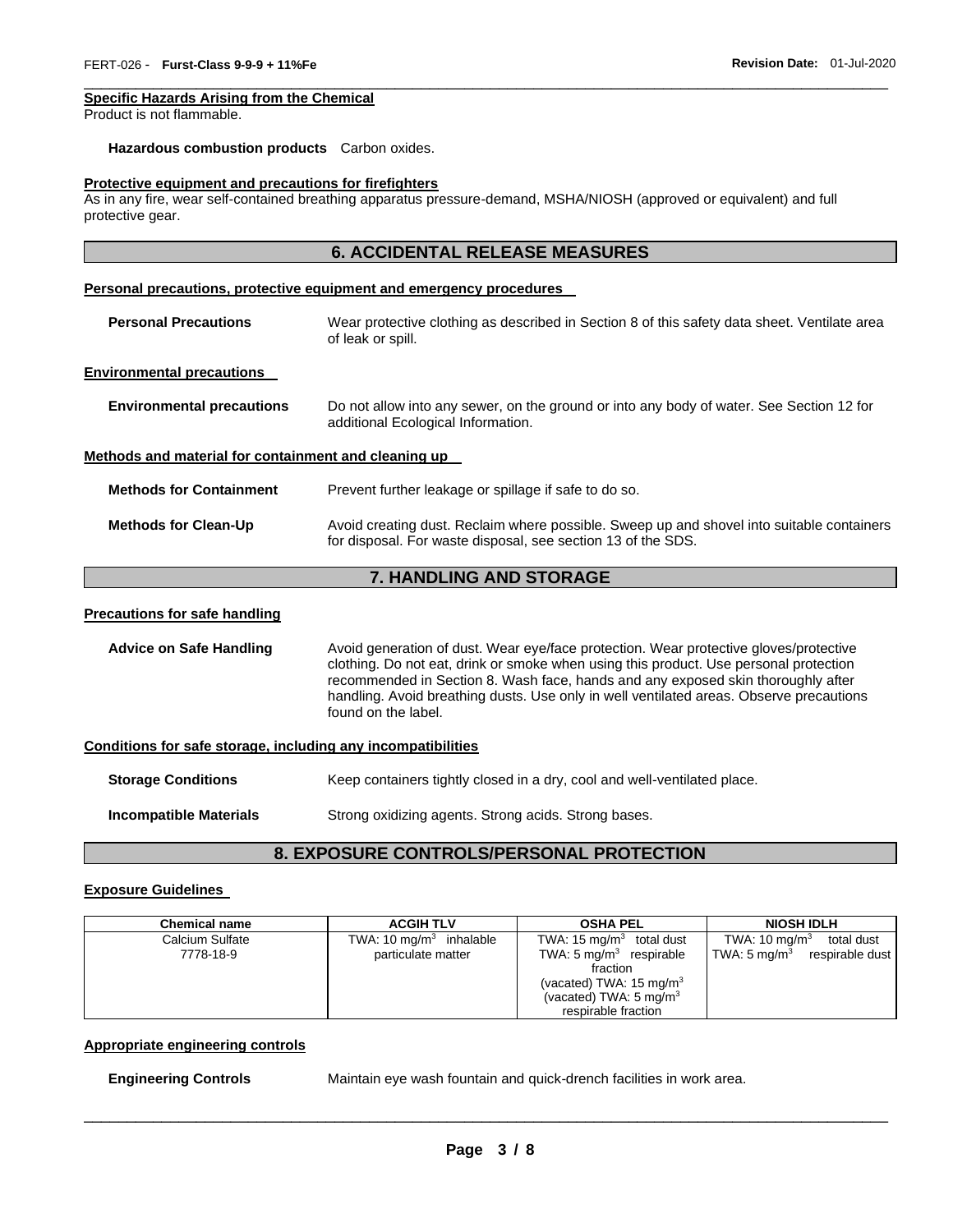#### **Specific Hazards Arising from the Chemical**

Product is not flammable.

#### **Hazardous combustion products** Carbon oxides.

#### **Protective equipment and precautions for firefighters**

As in any fire, wear self-contained breathing apparatus pressure-demand, MSHA/NIOSH (approved or equivalent) and full protective gear.

\_\_\_\_\_\_\_\_\_\_\_\_\_\_\_\_\_\_\_\_\_\_\_\_\_\_\_\_\_\_\_\_\_\_\_\_\_\_\_\_\_\_\_\_\_\_\_\_\_\_\_\_\_\_\_\_\_\_\_\_\_\_\_\_\_\_\_\_\_\_\_\_\_\_\_\_\_\_\_\_\_\_\_\_\_\_\_\_\_\_\_\_\_

|                                                              | <b>6. ACCIDENTAL RELEASE MEASURES</b>                                                                                                                                                                                                                                                                                                                                                |
|--------------------------------------------------------------|--------------------------------------------------------------------------------------------------------------------------------------------------------------------------------------------------------------------------------------------------------------------------------------------------------------------------------------------------------------------------------------|
|                                                              | Personal precautions, protective equipment and emergency procedures                                                                                                                                                                                                                                                                                                                  |
| <b>Personal Precautions</b>                                  | Wear protective clothing as described in Section 8 of this safety data sheet. Ventilate area<br>of leak or spill.                                                                                                                                                                                                                                                                    |
| <b>Environmental precautions</b>                             |                                                                                                                                                                                                                                                                                                                                                                                      |
| <b>Environmental precautions</b>                             | Do not allow into any sewer, on the ground or into any body of water. See Section 12 for<br>additional Ecological Information.                                                                                                                                                                                                                                                       |
| Methods and material for containment and cleaning up         |                                                                                                                                                                                                                                                                                                                                                                                      |
| <b>Methods for Containment</b>                               | Prevent further leakage or spillage if safe to do so.                                                                                                                                                                                                                                                                                                                                |
| <b>Methods for Clean-Up</b>                                  | Avoid creating dust. Reclaim where possible. Sweep up and shovel into suitable containers<br>for disposal. For waste disposal, see section 13 of the SDS.                                                                                                                                                                                                                            |
|                                                              | 7. HANDLING AND STORAGE                                                                                                                                                                                                                                                                                                                                                              |
| <b>Precautions for safe handling</b>                         |                                                                                                                                                                                                                                                                                                                                                                                      |
| <b>Advice on Safe Handling</b>                               | Avoid generation of dust. Wear eye/face protection. Wear protective gloves/protective<br>clothing. Do not eat, drink or smoke when using this product. Use personal protection<br>recommended in Section 8. Wash face, hands and any exposed skin thoroughly after<br>handling. Avoid breathing dusts. Use only in well ventilated areas. Observe precautions<br>found on the label. |
| Conditions for safe storage, including any incompatibilities |                                                                                                                                                                                                                                                                                                                                                                                      |
| <b>Storage Conditions</b>                                    | Keep containers tightly closed in a dry, cool and well-ventilated place.                                                                                                                                                                                                                                                                                                             |
| <b>Incompatible Materials</b>                                | Strong oxidizing agents. Strong acids. Strong bases.                                                                                                                                                                                                                                                                                                                                 |

# **8. EXPOSURE CONTROLS/PERSONAL PROTECTION**

#### **Exposure Guidelines**

| <b>Chemical name</b>         | <b>ACGIH TLV</b>                                | <b>OSHA PEL</b>                                                                                                                                                                            | NIOSH IDLH                                                            |
|------------------------------|-------------------------------------------------|--------------------------------------------------------------------------------------------------------------------------------------------------------------------------------------------|-----------------------------------------------------------------------|
| Calcium Sulfate<br>7778-18-9 | TWA: 10 $mg/m3$ inhalable<br>particulate matter | TWA: $15 \text{ mg/m}^3$<br>total dust<br>TWA: $5 \text{ mg/m}^3$ respirable<br>fraction<br>(vacated) TWA: $15 \text{ mg/m}^3$<br>(vacated) TWA: $5 \text{ mg/m}^3$<br>respirable fraction | TWA: 10 mg/m $3$<br>total dust<br>TWA: 5 mg/m $^3$<br>respirable dust |

#### **Appropriate engineering controls**

**Engineering Controls** Maintain eye wash fountain and quick-drench facilities in work area.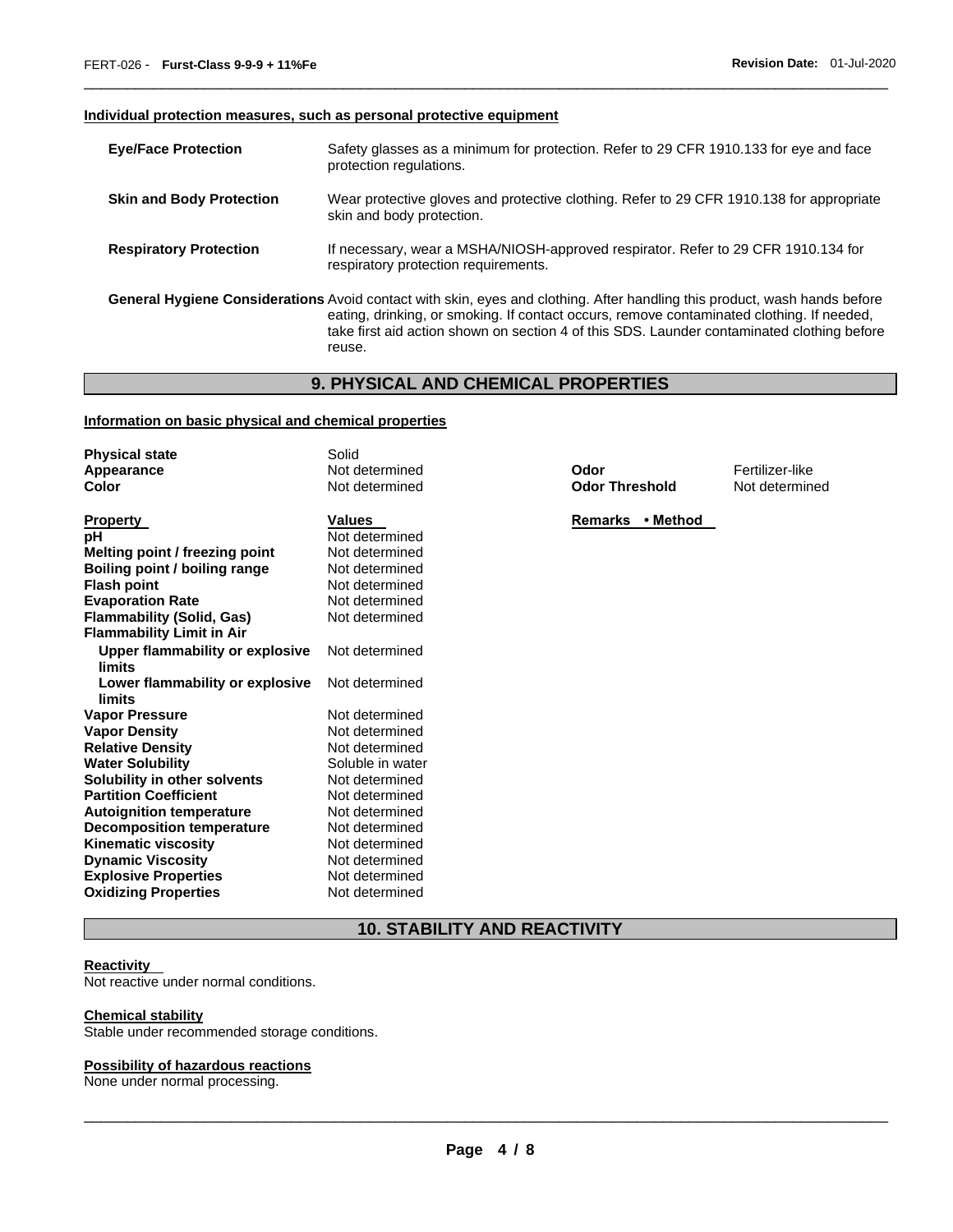#### **Individual protection measures, such as personal protective equipment**

| <b>Eye/Face Protection</b>      | Safety glasses as a minimum for protection. Refer to 29 CFR 1910.133 for eye and face<br>protection regulations.                                                                                                                                                                                                               |
|---------------------------------|--------------------------------------------------------------------------------------------------------------------------------------------------------------------------------------------------------------------------------------------------------------------------------------------------------------------------------|
| <b>Skin and Body Protection</b> | Wear protective gloves and protective clothing. Refer to 29 CFR 1910.138 for appropriate<br>skin and body protection.                                                                                                                                                                                                          |
| <b>Respiratory Protection</b>   | If necessary, wear a MSHA/NIOSH-approved respirator. Refer to 29 CFR 1910.134 for<br>respiratory protection requirements.                                                                                                                                                                                                      |
|                                 | General Hygiene Considerations Avoid contact with skin, eyes and clothing. After handling this product, wash hands before<br>eating, drinking, or smoking. If contact occurs, remove contaminated clothing. If needed,<br>take first aid action shown on section 4 of this SDS. Launder contaminated clothing before<br>reuse. |

\_\_\_\_\_\_\_\_\_\_\_\_\_\_\_\_\_\_\_\_\_\_\_\_\_\_\_\_\_\_\_\_\_\_\_\_\_\_\_\_\_\_\_\_\_\_\_\_\_\_\_\_\_\_\_\_\_\_\_\_\_\_\_\_\_\_\_\_\_\_\_\_\_\_\_\_\_\_\_\_\_\_\_\_\_\_\_\_\_\_\_\_\_

# **9. PHYSICAL AND CHEMICAL PROPERTIES**

#### **Information on basic physical and chemical properties**

| <b>Physical state</b>            | Solid            |                       |                 |
|----------------------------------|------------------|-----------------------|-----------------|
| Appearance                       | Not determined   | Odor                  | Fertilizer-like |
| Color                            | Not determined   | <b>Odor Threshold</b> | Not determined  |
| <b>Property</b>                  | <b>Values</b>    | Remarks • Method      |                 |
| рH                               | Not determined   |                       |                 |
| Melting point / freezing point   | Not determined   |                       |                 |
| Boiling point / boiling range    | Not determined   |                       |                 |
| <b>Flash point</b>               | Not determined   |                       |                 |
| <b>Evaporation Rate</b>          | Not determined   |                       |                 |
| <b>Flammability (Solid, Gas)</b> | Not determined   |                       |                 |
| <b>Flammability Limit in Air</b> |                  |                       |                 |
| Upper flammability or explosive  | Not determined   |                       |                 |
| limits                           |                  |                       |                 |
| Lower flammability or explosive  | Not determined   |                       |                 |
| limits                           |                  |                       |                 |
| <b>Vapor Pressure</b>            | Not determined   |                       |                 |
| <b>Vapor Density</b>             | Not determined   |                       |                 |
| <b>Relative Density</b>          | Not determined   |                       |                 |
| <b>Water Solubility</b>          | Soluble in water |                       |                 |
| Solubility in other solvents     | Not determined   |                       |                 |
| <b>Partition Coefficient</b>     | Not determined   |                       |                 |
| <b>Autoignition temperature</b>  | Not determined   |                       |                 |
| Decomposition temperature        | Not determined   |                       |                 |
| <b>Kinematic viscosity</b>       | Not determined   |                       |                 |
| <b>Dynamic Viscosity</b>         | Not determined   |                       |                 |
| <b>Explosive Properties</b>      | Not determined   |                       |                 |
| <b>Oxidizing Properties</b>      | Not determined   |                       |                 |

# **10. STABILITY AND REACTIVITY**

#### **Reactivity**

Not reactive under normal conditions.

#### **Chemical stability**

Stable under recommended storage conditions.

#### **Possibility of hazardous reactions**

None under normal processing.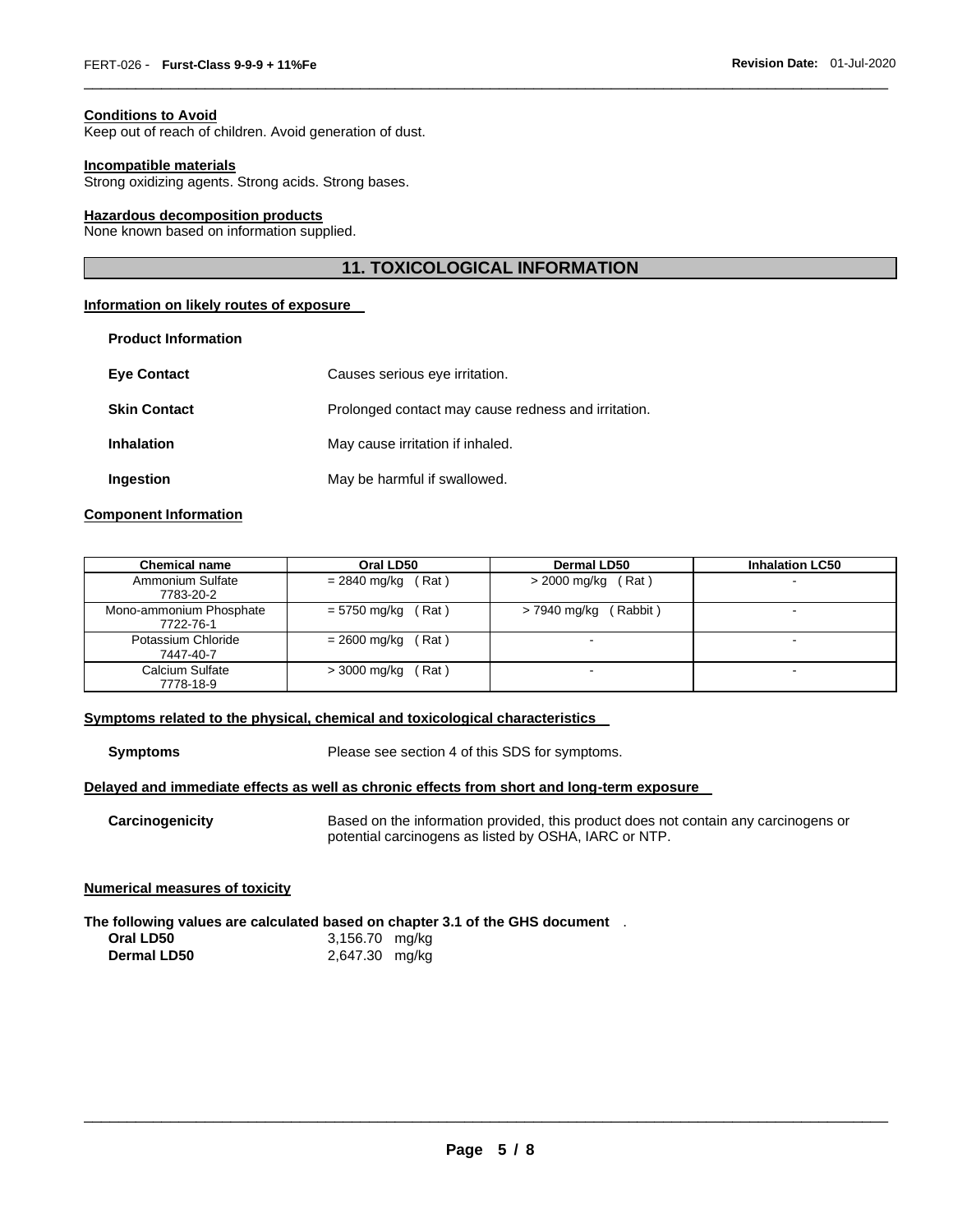#### **Conditions to Avoid**

Keep out of reach of children. Avoid generation of dust.

#### **Incompatible materials**

Strong oxidizing agents. Strong acids. Strong bases.

#### **Hazardous decomposition products**

None known based on information supplied.

#### **11. TOXICOLOGICAL INFORMATION**

\_\_\_\_\_\_\_\_\_\_\_\_\_\_\_\_\_\_\_\_\_\_\_\_\_\_\_\_\_\_\_\_\_\_\_\_\_\_\_\_\_\_\_\_\_\_\_\_\_\_\_\_\_\_\_\_\_\_\_\_\_\_\_\_\_\_\_\_\_\_\_\_\_\_\_\_\_\_\_\_\_\_\_\_\_\_\_\_\_\_\_\_\_

#### **Information on likely routes of exposure**

| <b>Product Information</b> |                                                     |
|----------------------------|-----------------------------------------------------|
| <b>Eye Contact</b>         | Causes serious eye irritation.                      |
| <b>Skin Contact</b>        | Prolonged contact may cause redness and irritation. |
| <b>Inhalation</b>          | May cause irritation if inhaled.                    |
| Ingestion                  | May be harmful if swallowed.                        |

#### **Component Information**

| <b>Chemical name</b>                 | Oral LD50                 | Dermal LD50              | <b>Inhalation LC50</b> |
|--------------------------------------|---------------------------|--------------------------|------------------------|
| Ammonium Sulfate<br>7783-20-2        | $= 2840$ mg/kg (Rat)      | $>$ 2000 mg/kg (Rat)     |                        |
| Mono-ammonium Phosphate<br>7722-76-1 | $= 5750$ mg/kg (Rat)      | (Rabbit)<br>> 7940 mg/kg |                        |
| Potassium Chloride<br>7447-40-7      | $= 2600$ mg/kg (<br>(Rat) | $\sim$                   |                        |
| Calcium Sulfate<br>7778-18-9         | (Rat)<br>> 3000 mg/kg     |                          |                        |

#### **Symptoms related to the physical, chemical and toxicological characteristics**

**Symptoms** Please see section 4 of this SDS for symptoms.

#### **Delayed and immediate effects as well as chronic effects from short and long-term exposure**

**Carcinogenicity** Based on the information provided, this product does not contain any carcinogens or potential carcinogens as listed by OSHA, IARC or NTP.

#### **Numerical measures of toxicity**

**The following values are calculated based on chapter 3.1 of the GHS document** . **Oral LD50** 3,156.70 mg/kg **Dermal LD50** 2,647.30 mg/kg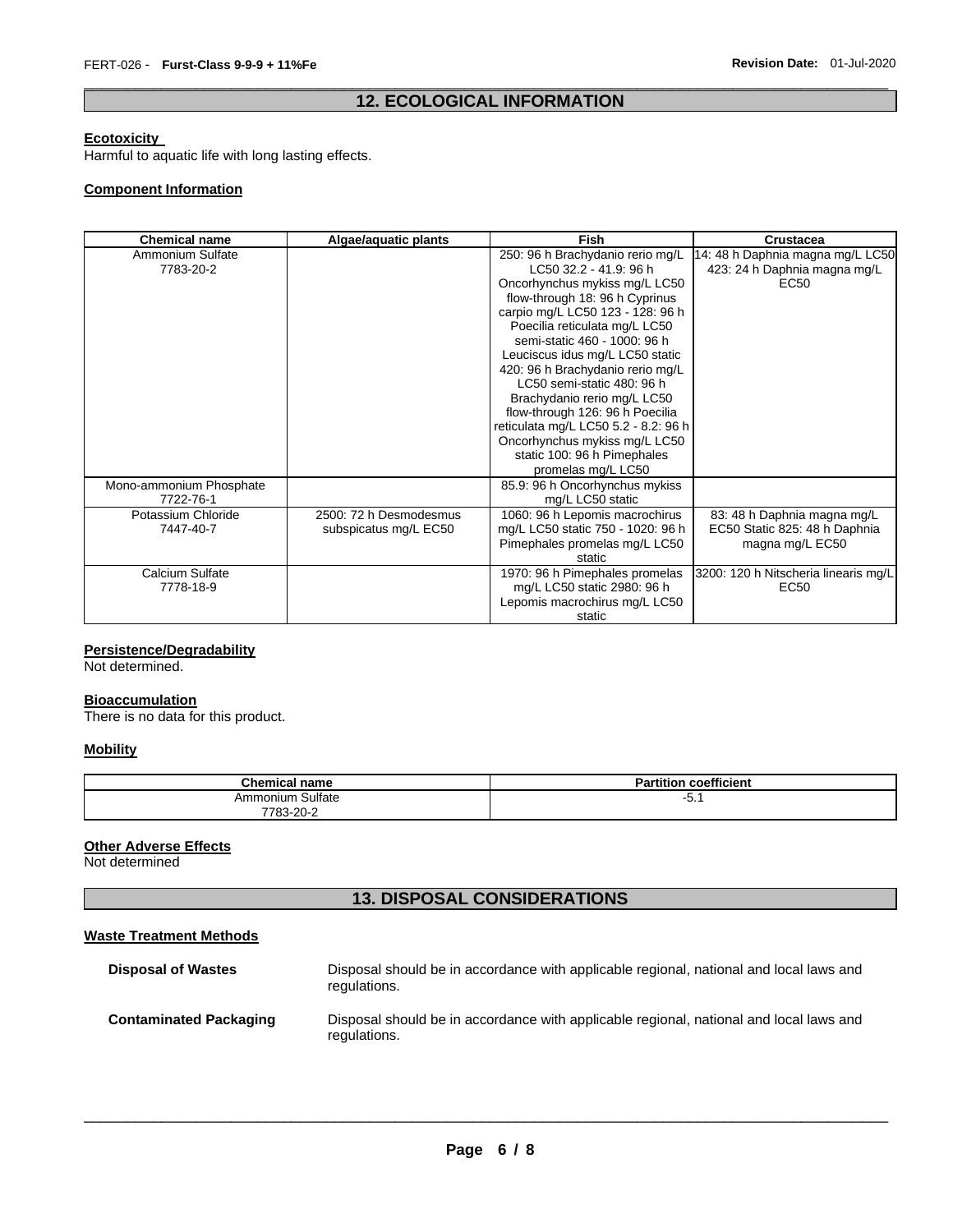#### \_\_\_\_\_\_\_\_\_\_\_\_\_\_\_\_\_\_\_\_\_\_\_\_\_\_\_\_\_\_\_\_\_\_\_\_\_\_\_\_\_\_\_\_\_\_\_\_\_\_\_\_\_\_\_\_\_\_\_\_\_\_\_\_\_\_\_\_\_\_\_\_\_\_\_\_\_\_\_\_\_\_\_\_\_\_\_\_\_\_\_\_\_ **12. ECOLOGICAL INFORMATION**

#### **Ecotoxicity**

Harmful to aquatic life with long lasting effects.

#### **Component Information**

| <b>Chemical name</b>    | Algae/aquatic plants   | <b>Fish</b>                          | <b>Crustacea</b>                     |
|-------------------------|------------------------|--------------------------------------|--------------------------------------|
| Ammonium Sulfate        |                        | 250: 96 h Brachydanio rerio mg/L     | 14: 48 h Daphnia magna mg/L LC50     |
| 7783-20-2               |                        | LC50 32.2 - 41.9. 96 h               | 423: 24 h Daphnia magna mg/L         |
|                         |                        | Oncorhynchus mykiss mg/L LC50        | EC50                                 |
|                         |                        | flow-through 18: 96 h Cyprinus       |                                      |
|                         |                        | carpio mg/L LC50 123 - 128: 96 h     |                                      |
|                         |                        | Poecilia reticulata mg/L LC50        |                                      |
|                         |                        | semi-static 460 - 1000: 96 h         |                                      |
|                         |                        | Leuciscus idus mg/L LC50 static      |                                      |
|                         |                        | 420: 96 h Brachydanio rerio mg/L     |                                      |
|                         |                        | LC50 semi-static 480: 96 h           |                                      |
|                         |                        | Brachydanio rerio mg/L LC50          |                                      |
|                         |                        | flow-through 126: 96 h Poecilia      |                                      |
|                         |                        | reticulata mg/L LC50 5.2 - 8.2: 96 h |                                      |
|                         |                        | Oncorhynchus mykiss mg/L LC50        |                                      |
|                         |                        | static 100: 96 h Pimephales          |                                      |
|                         |                        | promelas mg/L LC50                   |                                      |
| Mono-ammonium Phosphate |                        | 85.9: 96 h Oncorhynchus mykiss       |                                      |
| 7722-76-1               |                        | mg/L LC50 static                     |                                      |
| Potassium Chloride      | 2500: 72 h Desmodesmus | 1060: 96 h Lepomis macrochirus       | 83: 48 h Daphnia magna mg/L          |
| 7447-40-7               | subspicatus mg/L EC50  | mg/L LC50 static 750 - 1020: 96 h    | EC50 Static 825: 48 h Daphnia        |
|                         |                        | Pimephales promelas mg/L LC50        | magna mg/L EC50                      |
|                         |                        | static                               |                                      |
| Calcium Sulfate         |                        | 1970: 96 h Pimephales promelas       | 3200: 120 h Nitscheria linearis mg/L |
| 7778-18-9               |                        | mg/L LC50 static 2980: 96 h          | EC <sub>50</sub>                     |
|                         |                        | Lepomis macrochirus mg/L LC50        |                                      |
|                         |                        | static                               |                                      |

#### **Persistence/Degradability**

Not determined.

#### **Bioaccumulation**

There is no data for this product.

#### **Mobility**

| <b>Chemical name</b> | <b>Partition coefficient</b> |
|----------------------|------------------------------|
| Ammonium Sulfate     | - J. I                       |
| 7783-20-2            |                              |

#### **Other Adverse Effects**

Not determined

### **13. DISPOSAL CONSIDERATIONS**

#### **Waste Treatment Methods**

| <b>Disposal of Wastes</b>     | Disposal should be in accordance with applicable regional, national and local laws and<br>regulations. |
|-------------------------------|--------------------------------------------------------------------------------------------------------|
| <b>Contaminated Packaging</b> | Disposal should be in accordance with applicable regional, national and local laws and<br>regulations. |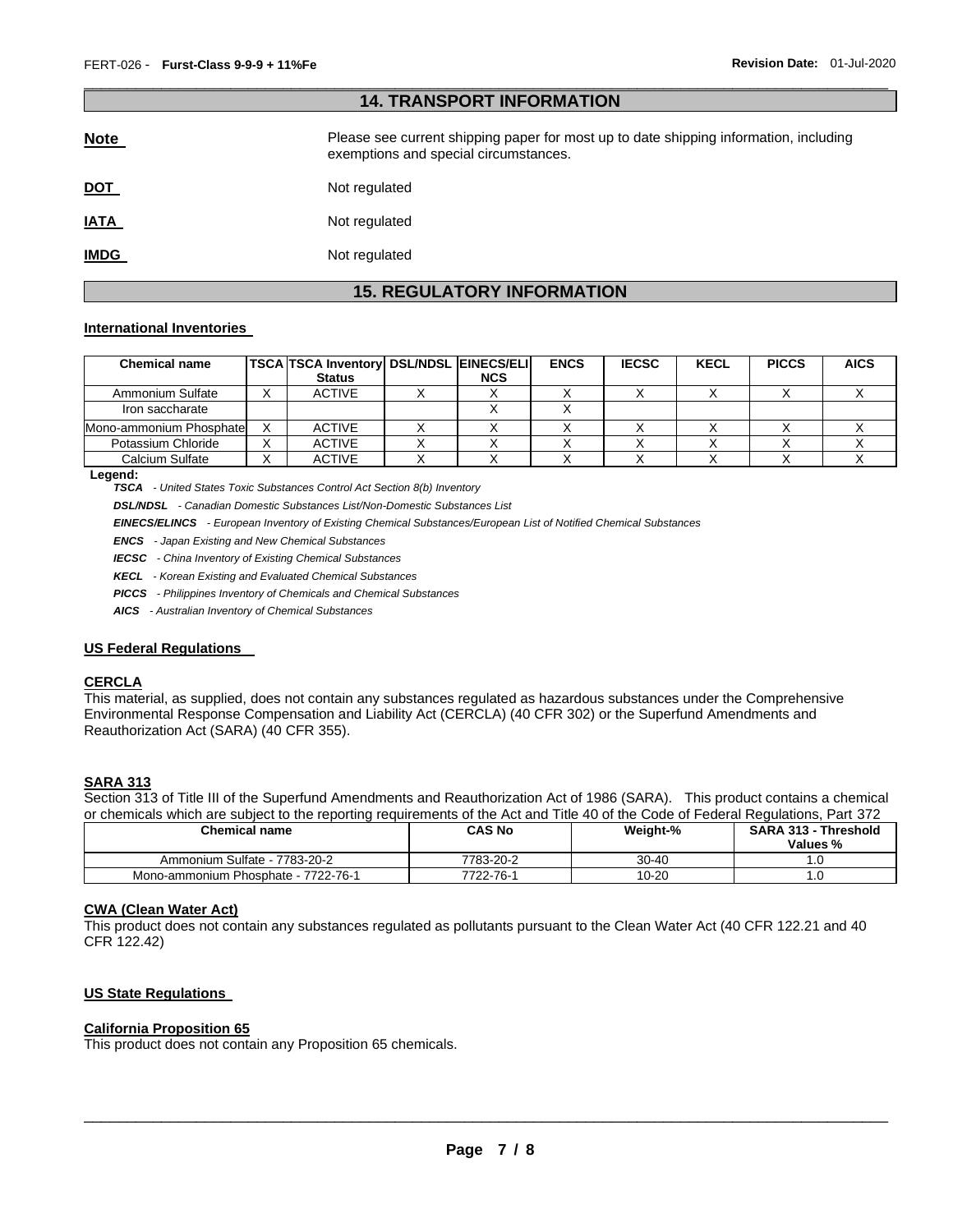| <b>14. TRANSPORT INFORMATION</b> |                                                                                                                                |  |  |  |
|----------------------------------|--------------------------------------------------------------------------------------------------------------------------------|--|--|--|
| <b>Note</b>                      | Please see current shipping paper for most up to date shipping information, including<br>exemptions and special circumstances. |  |  |  |
| <u>DOT</u>                       | Not regulated                                                                                                                  |  |  |  |
| <u>IATA</u>                      | Not regulated                                                                                                                  |  |  |  |
| <b>IMDG</b>                      | Not regulated                                                                                                                  |  |  |  |

\_\_\_\_\_\_\_\_\_\_\_\_\_\_\_\_\_\_\_\_\_\_\_\_\_\_\_\_\_\_\_\_\_\_\_\_\_\_\_\_\_\_\_\_\_\_\_\_\_\_\_\_\_\_\_\_\_\_\_\_\_\_\_\_\_\_\_\_\_\_\_\_\_\_\_\_\_\_\_\_\_\_\_\_\_\_\_\_\_\_\_\_\_

## **15. REGULATORY INFORMATION**

#### **International Inventories**

| <b>Chemical name</b>     |   | <b>TSCA TSCA Inventory DSL/NDSL EINECS/ELI</b><br><b>Status</b> | <b>NCS</b> | <b>ENCS</b> | <b>IECSC</b> | <b>KECL</b> | <b>PICCS</b> | <b>AICS</b> |
|--------------------------|---|-----------------------------------------------------------------|------------|-------------|--------------|-------------|--------------|-------------|
| Ammonium Sulfate         |   | <b>ACTIVE</b>                                                   |            |             |              |             |              |             |
| Iron saccharate          |   |                                                                 |            |             |              |             |              |             |
| Mono-ammonium Phosphatel |   | <b>ACTIVE</b>                                                   |            |             |              |             |              |             |
| Potassium Chloride       | ⌒ | <b>ACTIVE</b>                                                   |            |             |              |             |              |             |
| Calcium Sulfate          |   | <b>ACTIVE</b>                                                   |            |             |              |             |              |             |

**Legend:** 

*TSCA - United States Toxic Substances Control Act Section 8(b) Inventory* 

*DSL/NDSL - Canadian Domestic Substances List/Non-Domestic Substances List* 

*EINECS/ELINCS - European Inventory of Existing Chemical Substances/European List of Notified Chemical Substances* 

*ENCS - Japan Existing and New Chemical Substances* 

*IECSC - China Inventory of Existing Chemical Substances* 

*KECL - Korean Existing and Evaluated Chemical Substances* 

*PICCS - Philippines Inventory of Chemicals and Chemical Substances* 

*AICS - Australian Inventory of Chemical Substances* 

#### **US Federal Regulations**

#### **CERCLA**

This material, as supplied, does not contain any substances regulated as hazardous substances under the Comprehensive Environmental Response Compensation and Liability Act (CERCLA) (40 CFR 302) or the Superfund Amendments and Reauthorization Act (SARA) (40 CFR 355).

#### **SARA 313**

Section 313 of Title III of the Superfund Amendments and Reauthorization Act of 1986 (SARA). This product contains a chemical or chemicals which are subject to the reporting requirements of the Act and Title 40 of the Code of Federal Regulations, Part 372

| <b>Chemical name</b>                | <b>CAS No</b> | Weight-% | <b>SARA 313 - Threshold</b><br>Values % |
|-------------------------------------|---------------|----------|-----------------------------------------|
| Ammonium Sulfate - 7783-20-2        | 7783-20-2     | 30-40    |                                         |
| Mono-ammonium Phosphate - 7722-76-1 | 7722-76-1     | 10-20    |                                         |

#### **CWA (Clean Water Act)**

This product does not contain any substances regulated as pollutants pursuant to the Clean Water Act (40 CFR 122.21 and 40 CFR 122.42)

#### **US State Regulations**

#### **California Proposition 65**

This product does not contain any Proposition 65 chemicals.